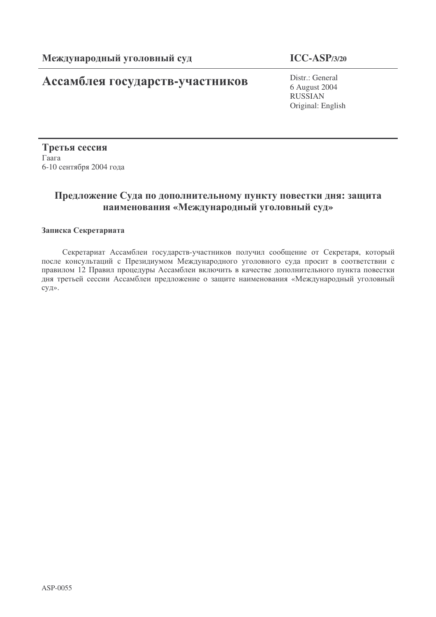# **Ассамблея государств-участников** Distr.: General

## **ICC-ASP/3/20**

6 August 2004 RUSSIAN Original: English

Третья сессия  $\Gamma$ aara 6-10 сентября 2004 года

# Предложение Суда по дополнительному пункту повестки дня: защита наименования «Международный уголовный суд»

#### Записка Секретариата

Секретариат Ассамблеи государств-участников получил сообщение от Секретаря, который после консультаций с Президиумом Международного уголовного суда просит в соответствии с правилом 12 Правил процедуры Ассамблеи включить в качестве дополнительного пункта повестки дня третьей сессии Ассамблеи предложение о защите наименования «Международный уголовный суд».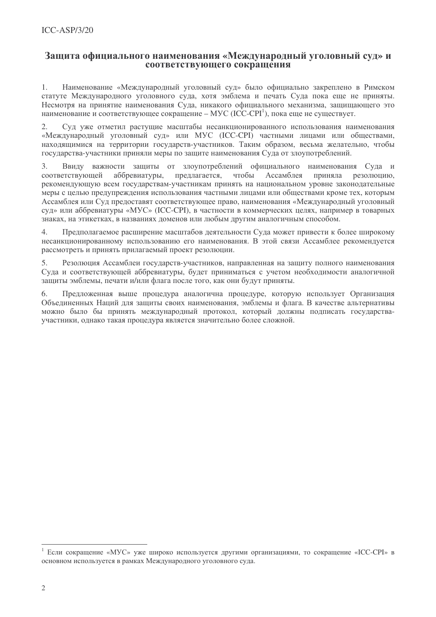#### Зашита официального наименования «Международный уголовный суд» и соответствующего сокращения

Наименование «Международный уголовный суд» было официально закреплено в Римском  $\mathbf{1}$ статуте Международного уголовного суда, хотя эмблема и печать Суда пока еще не приняты. Несмотря на принятие наименования Суда, никакого официального механизма, защищающего это наименование и соответствующее сокращение – МУС (ICC-CPI<sup>1</sup>), пока еще не существует.

 $2.$ Суд уже отметил растушие масштабы несанкционированного использования наименования «Международный уголовный суд» или МУС (ICC-CPI) частными лицами или обществами, находящимися на территории государств-участников. Таким образом, весьма желательно, чтобы государства-участники приняли меры по защите наименования Суда от злоупотреблений.

 $\mathcal{L}$ Ввиду важности зашиты от злоупотреблений официального наименования Суда и соответствующей аббревиатуры. предлагается. чтобы Ассамблея приняла резолюцию. рекомендующую всем государствам-участникам принять на национальном уровне законодательные меры с целью предупреждения использования частными лицами или обществами кроме тех, которым Ассамблея или Сул предоставят соответствующее право, наименования «Международный уголовный суд» или аббревиатуры «МУС» (ICC-CPI), в частности в коммерческих целях, например в товарных знаках, на этикетках, в названиях доменов или любым другим аналогичным способом.

Предполагаемое расширение масштабов деятельности Суда может привести к более широкому  $\mathcal{A}$ несанкционированному использованию его наименования. В этой связи Ассамблее рекомендуется рассмотреть и принять прилагаемый проект резолюции.

5. Резолюция Ассамблеи государств-участников, направленная на защиту полного наименования Суда и соответствующей аббревиатуры, будет приниматься с учетом необходимости аналогичной защиты эмблемы, печати и/или флага после того, как они будут приняты.

6. Предложенная выше процедура аналогична процедуре, которую использует Организация Объединенных Наций для защиты своих наименования, эмблемы и флага. В качестве альтернативы можно было бы принять международный протокол, который должны подписать государстваучастники, однако такая процедура является значительно более сложной.

Если сокращение «МУС» уже широко используется другими организациями, то сокращение «ICC-CPI» в основном используется в рамках Международного уголовного суда.